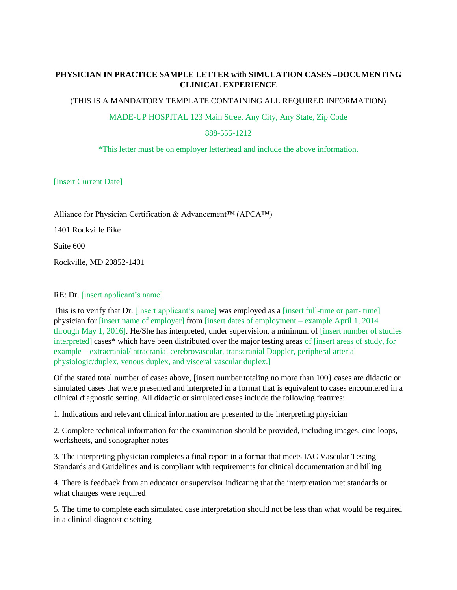## **PHYSICIAN IN PRACTICE SAMPLE LETTER with SIMULATION CASES –DOCUMENTING CLINICAL EXPERIENCE**

(THIS IS A MANDATORY TEMPLATE CONTAINING ALL REQUIRED INFORMATION)

MADE-UP HOSPITAL 123 Main Street Any City, Any State, Zip Code

888-555-1212

\*This letter must be on employer letterhead and include the above information.

[Insert Current Date]

Alliance for Physician Certification & Advancement™ (APCA™)

1401 Rockville Pike

Suite 600

Rockville, MD 20852-1401

## RE: Dr. [insert applicant's name]

This is to verify that Dr. [insert applicant's name] was employed as a [insert full-time or part- time] physician for [insert name of employer] from [insert dates of employment – example April 1, 2014 through May 1, 2016]. He/She has interpreted, under supervision, a minimum of [insert number of studies interpreted] cases\* which have been distributed over the major testing areas of [insert areas of study, for example – extracranial/intracranial cerebrovascular, transcranial Doppler, peripheral arterial physiologic/duplex, venous duplex, and visceral vascular duplex.]

Of the stated total number of cases above, [insert number totaling no more than 100} cases are didactic or simulated cases that were presented and interpreted in a format that is equivalent to cases encountered in a clinical diagnostic setting. All didactic or simulated cases include the following features:

1. Indications and relevant clinical information are presented to the interpreting physician

2. Complete technical information for the examination should be provided, including images, cine loops, worksheets, and sonographer notes

3. The interpreting physician completes a final report in a format that meets IAC Vascular Testing Standards and Guidelines and is compliant with requirements for clinical documentation and billing

4. There is feedback from an educator or supervisor indicating that the interpretation met standards or what changes were required

5. The time to complete each simulated case interpretation should not be less than what would be required in a clinical diagnostic setting